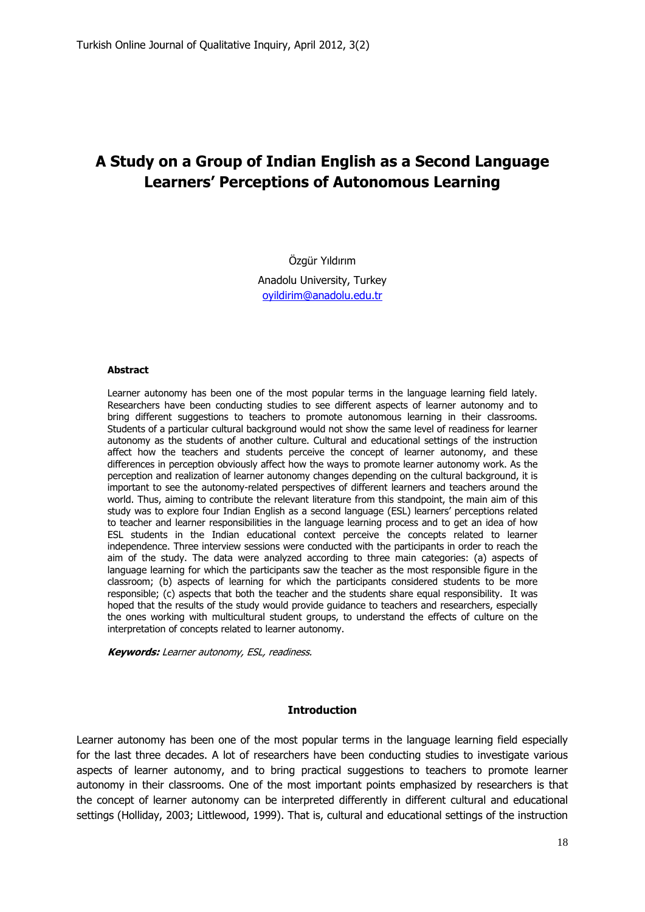# **A Study on a Group of Indian English as a Second Language Learners' Perceptions of Autonomous Learning**

# Özgür Yıldırım

Anadolu University, Turkey [oyildirim@anadolu.edu.tr](mailto:oyildirim@anadolu.edu.tr)

#### **Abstract**

Learner autonomy has been one of the most popular terms in the language learning field lately. Researchers have been conducting studies to see different aspects of learner autonomy and to bring different suggestions to teachers to promote autonomous learning in their classrooms. Students of a particular cultural background would not show the same level of readiness for learner autonomy as the students of another culture. Cultural and educational settings of the instruction affect how the teachers and students perceive the concept of learner autonomy, and these differences in perception obviously affect how the ways to promote learner autonomy work. As the perception and realization of learner autonomy changes depending on the cultural background, it is important to see the autonomy-related perspectives of different learners and teachers around the world. Thus, aiming to contribute the relevant literature from this standpoint, the main aim of this study was to explore four Indian English as a second language (ESL) learners" perceptions related to teacher and learner responsibilities in the language learning process and to get an idea of how ESL students in the Indian educational context perceive the concepts related to learner independence. Three interview sessions were conducted with the participants in order to reach the aim of the study. The data were analyzed according to three main categories: (a) aspects of language learning for which the participants saw the teacher as the most responsible figure in the classroom; (b) aspects of learning for which the participants considered students to be more responsible; (c) aspects that both the teacher and the students share equal responsibility. It was hoped that the results of the study would provide guidance to teachers and researchers, especially the ones working with multicultural student groups, to understand the effects of culture on the interpretation of concepts related to learner autonomy.

**Keywords:** Learner autonomy, ESL, readiness.

#### **Introduction**

Learner autonomy has been one of the most popular terms in the language learning field especially for the last three decades. A lot of researchers have been conducting studies to investigate various aspects of learner autonomy, and to bring practical suggestions to teachers to promote learner autonomy in their classrooms. One of the most important points emphasized by researchers is that the concept of learner autonomy can be interpreted differently in different cultural and educational settings (Holliday, 2003; Littlewood, 1999). That is, cultural and educational settings of the instruction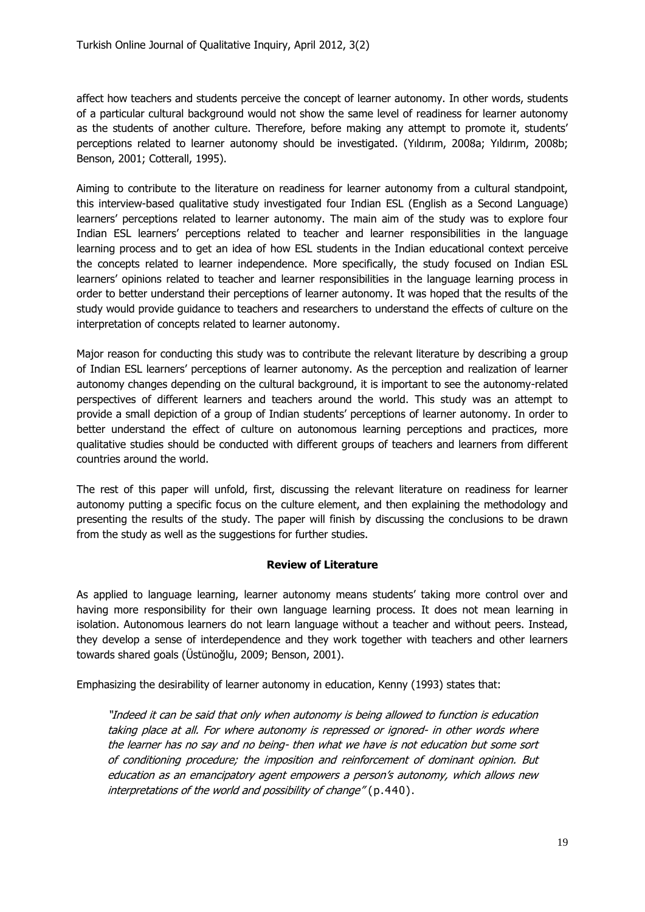affect how teachers and students perceive the concept of learner autonomy. In other words, students of a particular cultural background would not show the same level of readiness for learner autonomy as the students of another culture. Therefore, before making any attempt to promote it, students' perceptions related to learner autonomy should be investigated. (Yıldırım, 2008a; Yıldırım, 2008b; Benson, 2001; Cotterall, 1995).

Aiming to contribute to the literature on readiness for learner autonomy from a cultural standpoint, this interview-based qualitative study investigated four Indian ESL (English as a Second Language) learners" perceptions related to learner autonomy. The main aim of the study was to explore four Indian ESL learners" perceptions related to teacher and learner responsibilities in the language learning process and to get an idea of how ESL students in the Indian educational context perceive the concepts related to learner independence. More specifically, the study focused on Indian ESL learners" opinions related to teacher and learner responsibilities in the language learning process in order to better understand their perceptions of learner autonomy. It was hoped that the results of the study would provide guidance to teachers and researchers to understand the effects of culture on the interpretation of concepts related to learner autonomy.

Major reason for conducting this study was to contribute the relevant literature by describing a group of Indian ESL learners" perceptions of learner autonomy. As the perception and realization of learner autonomy changes depending on the cultural background, it is important to see the autonomy-related perspectives of different learners and teachers around the world. This study was an attempt to provide a small depiction of a group of Indian students" perceptions of learner autonomy. In order to better understand the effect of culture on autonomous learning perceptions and practices, more qualitative studies should be conducted with different groups of teachers and learners from different countries around the world.

The rest of this paper will unfold, first, discussing the relevant literature on readiness for learner autonomy putting a specific focus on the culture element, and then explaining the methodology and presenting the results of the study. The paper will finish by discussing the conclusions to be drawn from the study as well as the suggestions for further studies.

# **Review of Literature**

As applied to language learning, learner autonomy means students' taking more control over and having more responsibility for their own language learning process. It does not mean learning in isolation. Autonomous learners do not learn language without a teacher and without peers. Instead, they develop a sense of interdependence and they work together with teachers and other learners towards shared goals (Üstünoğlu, 2009; Benson, 2001).

Emphasizing the desirability of learner autonomy in education, Kenny (1993) states that:

"Indeed it can be said that only when autonomy is being allowed to function is education taking place at all. For where autonomy is repressed or ignored- in other words where the learner has no say and no being- then what we have is not education but some sort of conditioning procedure; the imposition and reinforcement of dominant opinion. But education as an emancipatory agent empowers a person's autonomy, which allows new interpretations of the world and possibility of change" (p.440).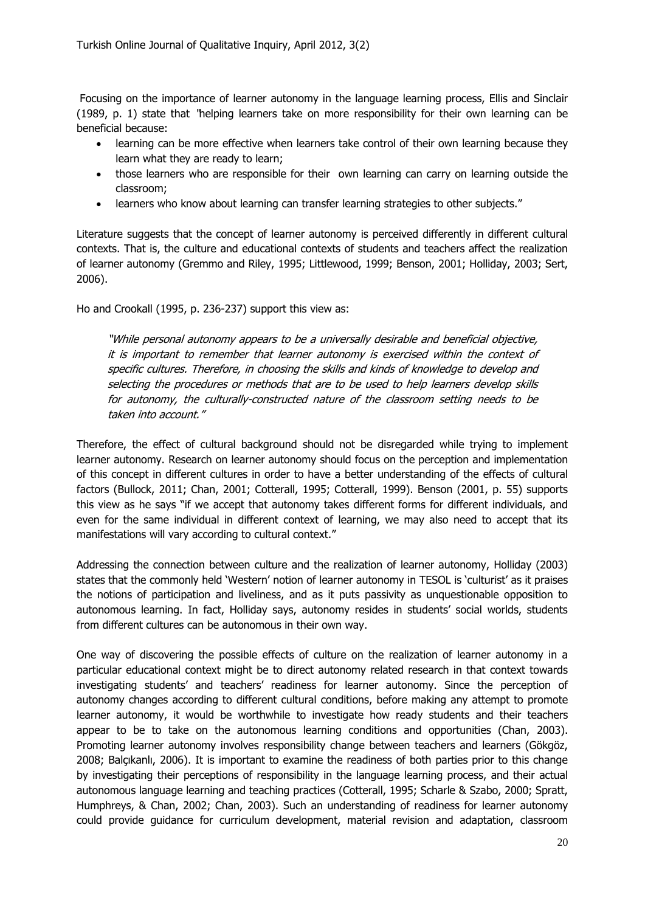Focusing on the importance of learner autonomy in the language learning process, Ellis and Sinclair (1989, p. 1) state that "helping learners take on more responsibility for their own learning can be beneficial because:

- learning can be more effective when learners take control of their own learning because they learn what they are ready to learn;
- those learners who are responsible for their own learning can carry on learning outside the classroom;
- learners who know about learning can transfer learning strategies to other subjects."

Literature suggests that the concept of learner autonomy is perceived differently in different cultural contexts. That is, the culture and educational contexts of students and teachers affect the realization of learner autonomy (Gremmo and Riley, 1995; Littlewood, 1999; Benson, 2001; Holliday, 2003; Sert, 2006).

Ho and Crookall (1995, p. 236-237) support this view as:

"While personal autonomy appears to be a universally desirable and beneficial objective, it is important to remember that learner autonomy is exercised within the context of specific cultures. Therefore, in choosing the skills and kinds of knowledge to develop and selecting the procedures or methods that are to be used to help learners develop skills for autonomy, the culturally-constructed nature of the classroom setting needs to be taken into account."

Therefore, the effect of cultural background should not be disregarded while trying to implement learner autonomy. Research on learner autonomy should focus on the perception and implementation of this concept in different cultures in order to have a better understanding of the effects of cultural factors (Bullock, 2011; Chan, 2001; Cotterall, 1995; Cotterall, 1999). Benson (2001, p. 55) supports this view as he says "if we accept that autonomy takes different forms for different individuals, and even for the same individual in different context of learning, we may also need to accept that its manifestations will vary according to cultural context."

Addressing the connection between culture and the realization of learner autonomy, Holliday (2003) states that the commonly held "Western" notion of learner autonomy in TESOL is "culturist" as it praises the notions of participation and liveliness, and as it puts passivity as unquestionable opposition to autonomous learning. In fact, Holliday says, autonomy resides in students' social worlds, students from different cultures can be autonomous in their own way.

One way of discovering the possible effects of culture on the realization of learner autonomy in a particular educational context might be to direct autonomy related research in that context towards investigating students" and teachers" readiness for learner autonomy. Since the perception of autonomy changes according to different cultural conditions, before making any attempt to promote learner autonomy, it would be worthwhile to investigate how ready students and their teachers appear to be to take on the autonomous learning conditions and opportunities (Chan, 2003). Promoting learner autonomy involves responsibility change between teachers and learners (Gökgöz, 2008; Balçıkanlı, 2006). It is important to examine the readiness of both parties prior to this change by investigating their perceptions of responsibility in the language learning process, and their actual autonomous language learning and teaching practices (Cotterall, 1995; Scharle & Szabo, 2000; Spratt, Humphreys, & Chan, 2002; Chan, 2003). Such an understanding of readiness for learner autonomy could provide guidance for curriculum development, material revision and adaptation, classroom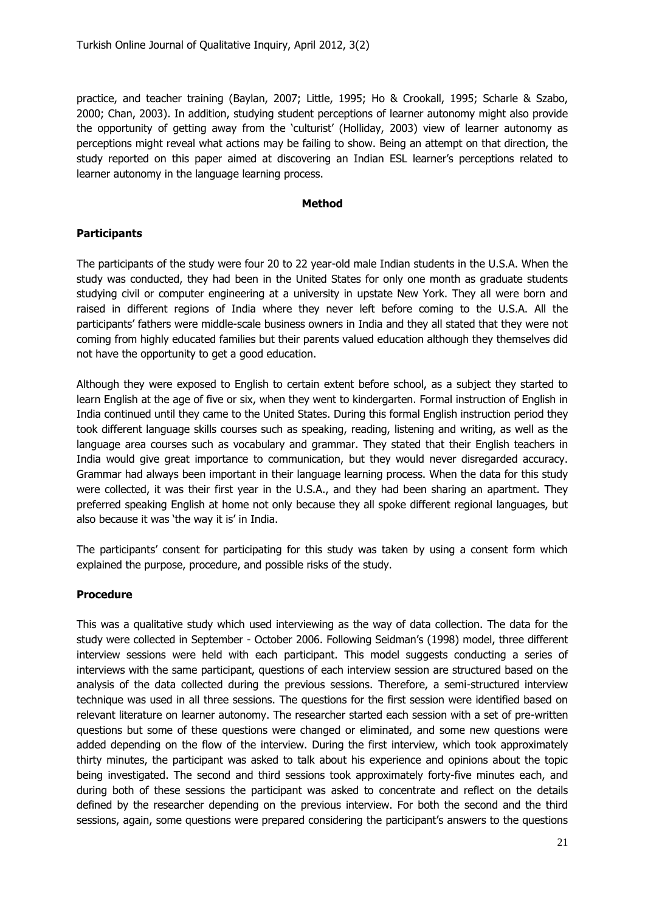practice, and teacher training (Baylan, 2007; Little, 1995; Ho & Crookall, 1995; Scharle & Szabo, 2000; Chan, 2003). In addition, studying student perceptions of learner autonomy might also provide the opportunity of getting away from the "culturist" (Holliday, 2003) view of learner autonomy as perceptions might reveal what actions may be failing to show. Being an attempt on that direction, the study reported on this paper aimed at discovering an Indian ESL learner"s perceptions related to learner autonomy in the language learning process.

#### **Method**

# **Participants**

The participants of the study were four 20 to 22 year-old male Indian students in the U.S.A. When the study was conducted, they had been in the United States for only one month as graduate students studying civil or computer engineering at a university in upstate New York. They all were born and raised in different regions of India where they never left before coming to the U.S.A. All the participants' fathers were middle-scale business owners in India and they all stated that they were not coming from highly educated families but their parents valued education although they themselves did not have the opportunity to get a good education.

Although they were exposed to English to certain extent before school, as a subject they started to learn English at the age of five or six, when they went to kindergarten. Formal instruction of English in India continued until they came to the United States. During this formal English instruction period they took different language skills courses such as speaking, reading, listening and writing, as well as the language area courses such as vocabulary and grammar. They stated that their English teachers in India would give great importance to communication, but they would never disregarded accuracy. Grammar had always been important in their language learning process. When the data for this study were collected, it was their first year in the U.S.A., and they had been sharing an apartment. They preferred speaking English at home not only because they all spoke different regional languages, but also because it was 'the way it is' in India.

The participants' consent for participating for this study was taken by using a consent form which explained the purpose, procedure, and possible risks of the study.

# **Procedure**

This was a qualitative study which used interviewing as the way of data collection. The data for the study were collected in September - October 2006. Following Seidman"s (1998) model, three different interview sessions were held with each participant. This model suggests conducting a series of interviews with the same participant, questions of each interview session are structured based on the analysis of the data collected during the previous sessions. Therefore, a semi-structured interview technique was used in all three sessions. The questions for the first session were identified based on relevant literature on learner autonomy. The researcher started each session with a set of pre-written questions but some of these questions were changed or eliminated, and some new questions were added depending on the flow of the interview. During the first interview, which took approximately thirty minutes, the participant was asked to talk about his experience and opinions about the topic being investigated. The second and third sessions took approximately forty-five minutes each, and during both of these sessions the participant was asked to concentrate and reflect on the details defined by the researcher depending on the previous interview. For both the second and the third sessions, again, some questions were prepared considering the participant's answers to the questions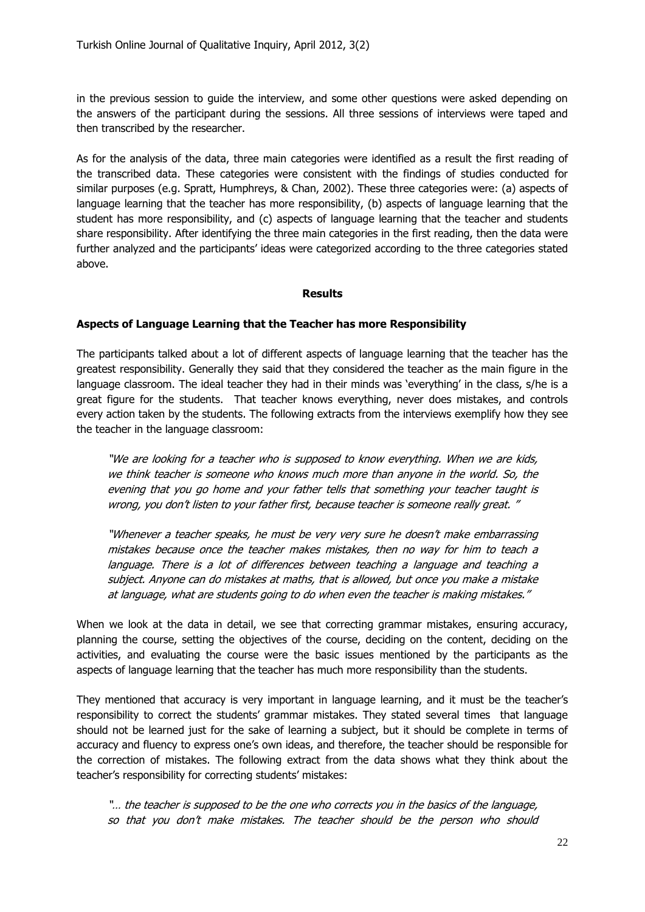in the previous session to guide the interview, and some other questions were asked depending on the answers of the participant during the sessions. All three sessions of interviews were taped and then transcribed by the researcher.

As for the analysis of the data, three main categories were identified as a result the first reading of the transcribed data. These categories were consistent with the findings of studies conducted for similar purposes (e.g. Spratt, Humphreys, & Chan, 2002). These three categories were: (a) aspects of language learning that the teacher has more responsibility, (b) aspects of language learning that the student has more responsibility, and (c) aspects of language learning that the teacher and students share responsibility. After identifying the three main categories in the first reading, then the data were further analyzed and the participants' ideas were categorized according to the three categories stated above.

#### **Results**

#### **Aspects of Language Learning that the Teacher has more Responsibility**

The participants talked about a lot of different aspects of language learning that the teacher has the greatest responsibility. Generally they said that they considered the teacher as the main figure in the language classroom. The ideal teacher they had in their minds was 'everything' in the class, s/he is a great figure for the students. That teacher knows everything, never does mistakes, and controls every action taken by the students. The following extracts from the interviews exemplify how they see the teacher in the language classroom:

"We are looking for a teacher who is supposed to know everything. When we are kids, we think teacher is someone who knows much more than anyone in the world. So, the evening that you go home and your father tells that something your teacher taught is wrong, you don"t listen to your father first, because teacher is someone really great. "

"Whenever a teacher speaks, he must be very very sure he doesn't make embarrassing mistakes because once the teacher makes mistakes, then no way for him to teach a language. There is a lot of differences between teaching a language and teaching a subject. Anyone can do mistakes at maths, that is allowed, but once you make a mistake at language, what are students going to do when even the teacher is making mistakes."

When we look at the data in detail, we see that correcting grammar mistakes, ensuring accuracy, planning the course, setting the objectives of the course, deciding on the content, deciding on the activities, and evaluating the course were the basic issues mentioned by the participants as the aspects of language learning that the teacher has much more responsibility than the students.

They mentioned that accuracy is very important in language learning, and it must be the teacher"s responsibility to correct the students" grammar mistakes. They stated several times that language should not be learned just for the sake of learning a subject, but it should be complete in terms of accuracy and fluency to express one"s own ideas, and therefore, the teacher should be responsible for the correction of mistakes. The following extract from the data shows what they think about the teacher's responsibility for correcting students' mistakes:

"… the teacher is supposed to be the one who corrects you in the basics of the language, so that you don't make mistakes. The teacher should be the person who should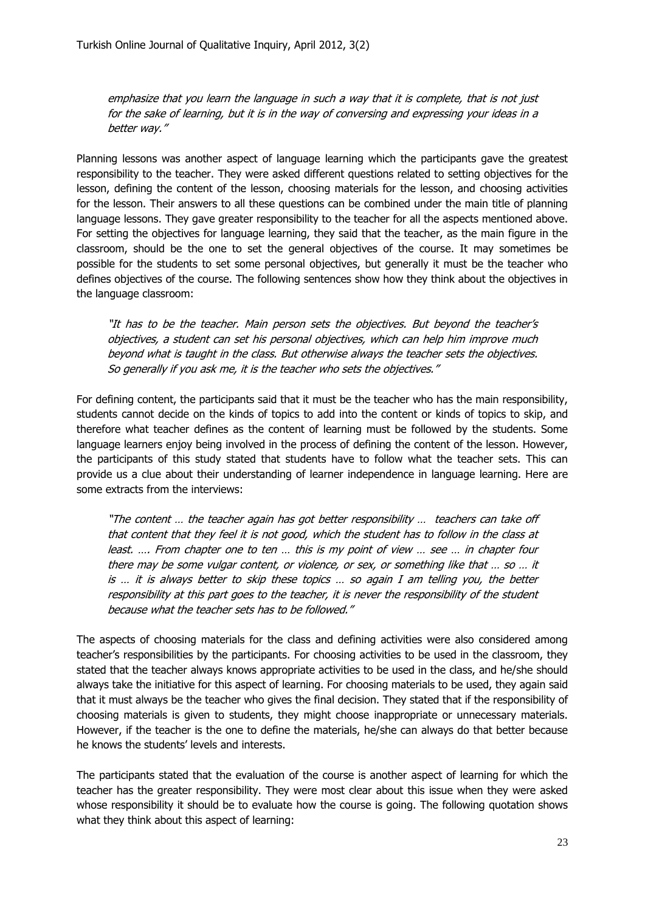emphasize that you learn the language in such a way that it is complete, that is not just for the sake of learning, but it is in the way of conversing and expressing your ideas in a better way."

Planning lessons was another aspect of language learning which the participants gave the greatest responsibility to the teacher. They were asked different questions related to setting objectives for the lesson, defining the content of the lesson, choosing materials for the lesson, and choosing activities for the lesson. Their answers to all these questions can be combined under the main title of planning language lessons. They gave greater responsibility to the teacher for all the aspects mentioned above. For setting the objectives for language learning, they said that the teacher, as the main figure in the classroom, should be the one to set the general objectives of the course. It may sometimes be possible for the students to set some personal objectives, but generally it must be the teacher who defines objectives of the course. The following sentences show how they think about the objectives in the language classroom:

"It has to be the teacher. Main person sets the objectives. But beyond the teacher"s objectives, a student can set his personal objectives, which can help him improve much beyond what is taught in the class. But otherwise always the teacher sets the objectives. So generally if you ask me, it is the teacher who sets the objectives."

For defining content, the participants said that it must be the teacher who has the main responsibility, students cannot decide on the kinds of topics to add into the content or kinds of topics to skip, and therefore what teacher defines as the content of learning must be followed by the students. Some language learners enjoy being involved in the process of defining the content of the lesson. However, the participants of this study stated that students have to follow what the teacher sets. This can provide us a clue about their understanding of learner independence in language learning. Here are some extracts from the interviews:

"The content … the teacher again has got better responsibility … teachers can take off that content that they feel it is not good, which the student has to follow in the class at least. …. From chapter one to ten … this is my point of view … see … in chapter four there may be some vulgar content, or violence, or sex, or something like that … so … it is … it is always better to skip these topics … so again I am telling you, the better responsibility at this part goes to the teacher, it is never the responsibility of the student because what the teacher sets has to be followed."

The aspects of choosing materials for the class and defining activities were also considered among teacher"s responsibilities by the participants. For choosing activities to be used in the classroom, they stated that the teacher always knows appropriate activities to be used in the class, and he/she should always take the initiative for this aspect of learning. For choosing materials to be used, they again said that it must always be the teacher who gives the final decision. They stated that if the responsibility of choosing materials is given to students, they might choose inappropriate or unnecessary materials. However, if the teacher is the one to define the materials, he/she can always do that better because he knows the students" levels and interests.

The participants stated that the evaluation of the course is another aspect of learning for which the teacher has the greater responsibility. They were most clear about this issue when they were asked whose responsibility it should be to evaluate how the course is going. The following quotation shows what they think about this aspect of learning: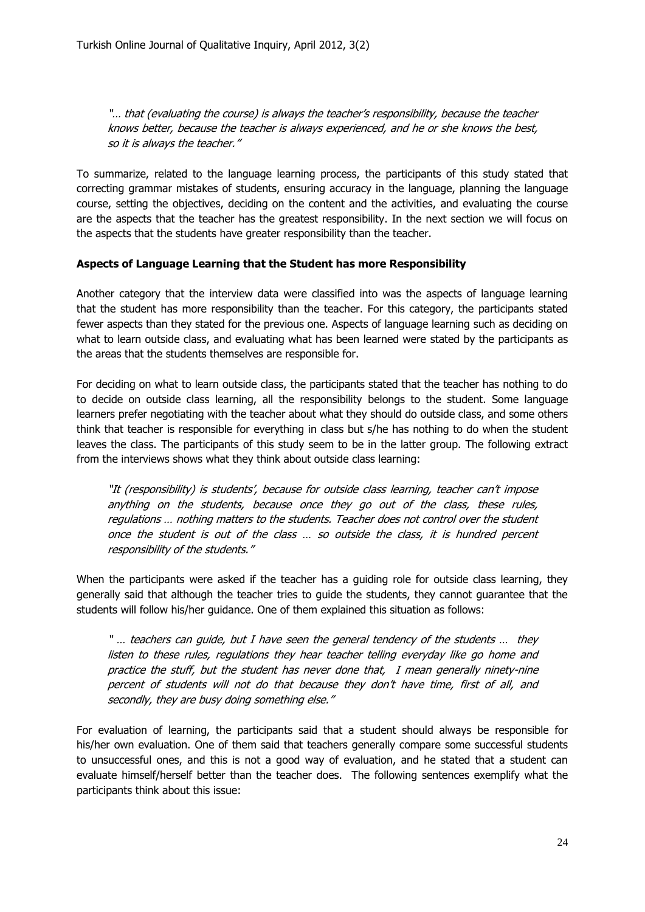"… that (evaluating the course) is always the teacher"s responsibility, because the teacher knows better, because the teacher is always experienced, and he or she knows the best, so it is always the teacher."

To summarize, related to the language learning process, the participants of this study stated that correcting grammar mistakes of students, ensuring accuracy in the language, planning the language course, setting the objectives, deciding on the content and the activities, and evaluating the course are the aspects that the teacher has the greatest responsibility. In the next section we will focus on the aspects that the students have greater responsibility than the teacher.

#### **Aspects of Language Learning that the Student has more Responsibility**

Another category that the interview data were classified into was the aspects of language learning that the student has more responsibility than the teacher. For this category, the participants stated fewer aspects than they stated for the previous one. Aspects of language learning such as deciding on what to learn outside class, and evaluating what has been learned were stated by the participants as the areas that the students themselves are responsible for.

For deciding on what to learn outside class, the participants stated that the teacher has nothing to do to decide on outside class learning, all the responsibility belongs to the student. Some language learners prefer negotiating with the teacher about what they should do outside class, and some others think that teacher is responsible for everything in class but s/he has nothing to do when the student leaves the class. The participants of this study seem to be in the latter group. The following extract from the interviews shows what they think about outside class learning:

"It (responsibility) is students', because for outside class learning, teacher can't impose anything on the students, because once they go out of the class, these rules, regulations … nothing matters to the students. Teacher does not control over the student once the student is out of the class … so outside the class, it is hundred percent responsibility of the students."

When the participants were asked if the teacher has a quiding role for outside class learning, they generally said that although the teacher tries to guide the students, they cannot guarantee that the students will follow his/her guidance. One of them explained this situation as follows:

" … teachers can guide, but I have seen the general tendency of the students … they listen to these rules, regulations they hear teacher telling everyday like go home and practice the stuff, but the student has never done that, I mean generally ninety-nine percent of students will not do that because they don't have time, first of all, and secondly, they are busy doing something else."

For evaluation of learning, the participants said that a student should always be responsible for his/her own evaluation. One of them said that teachers generally compare some successful students to unsuccessful ones, and this is not a good way of evaluation, and he stated that a student can evaluate himself/herself better than the teacher does. The following sentences exemplify what the participants think about this issue: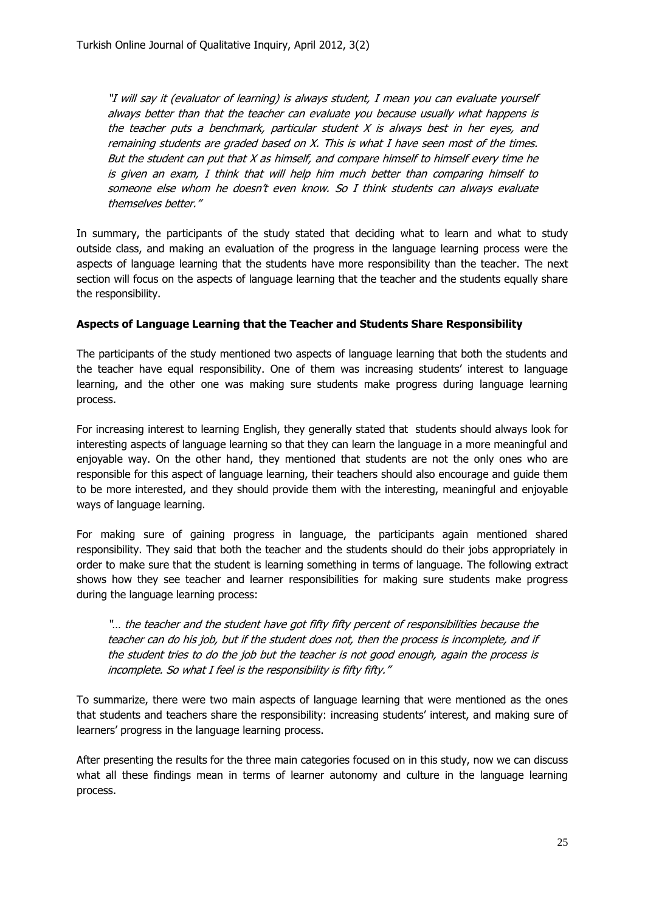"I will say it (evaluator of learning) is always student, I mean you can evaluate yourself always better than that the teacher can evaluate you because usually what happens is the teacher puts a benchmark, particular student  $X$  is always best in her eyes, and remaining students are graded based on X. This is what I have seen most of the times. But the student can put that  $X$  as himself, and compare himself to himself every time he is given an exam, I think that will help him much better than comparing himself to someone else whom he doesn't even know. So I think students can always evaluate themselves better."

In summary, the participants of the study stated that deciding what to learn and what to study outside class, and making an evaluation of the progress in the language learning process were the aspects of language learning that the students have more responsibility than the teacher. The next section will focus on the aspects of language learning that the teacher and the students equally share the responsibility.

# **Aspects of Language Learning that the Teacher and Students Share Responsibility**

The participants of the study mentioned two aspects of language learning that both the students and the teacher have equal responsibility. One of them was increasing students' interest to language learning, and the other one was making sure students make progress during language learning process.

For increasing interest to learning English, they generally stated that students should always look for interesting aspects of language learning so that they can learn the language in a more meaningful and enjoyable way. On the other hand, they mentioned that students are not the only ones who are responsible for this aspect of language learning, their teachers should also encourage and guide them to be more interested, and they should provide them with the interesting, meaningful and enjoyable ways of language learning.

For making sure of gaining progress in language, the participants again mentioned shared responsibility. They said that both the teacher and the students should do their jobs appropriately in order to make sure that the student is learning something in terms of language. The following extract shows how they see teacher and learner responsibilities for making sure students make progress during the language learning process:

"... the teacher and the student have got fifty fifty percent of responsibilities because the teacher can do his job, but if the student does not, then the process is incomplete, and if the student tries to do the job but the teacher is not good enough, again the process is incomplete. So what I feel is the responsibility is fifty fifty."

To summarize, there were two main aspects of language learning that were mentioned as the ones that students and teachers share the responsibility: increasing students' interest, and making sure of learners' progress in the language learning process.

After presenting the results for the three main categories focused on in this study, now we can discuss what all these findings mean in terms of learner autonomy and culture in the language learning process.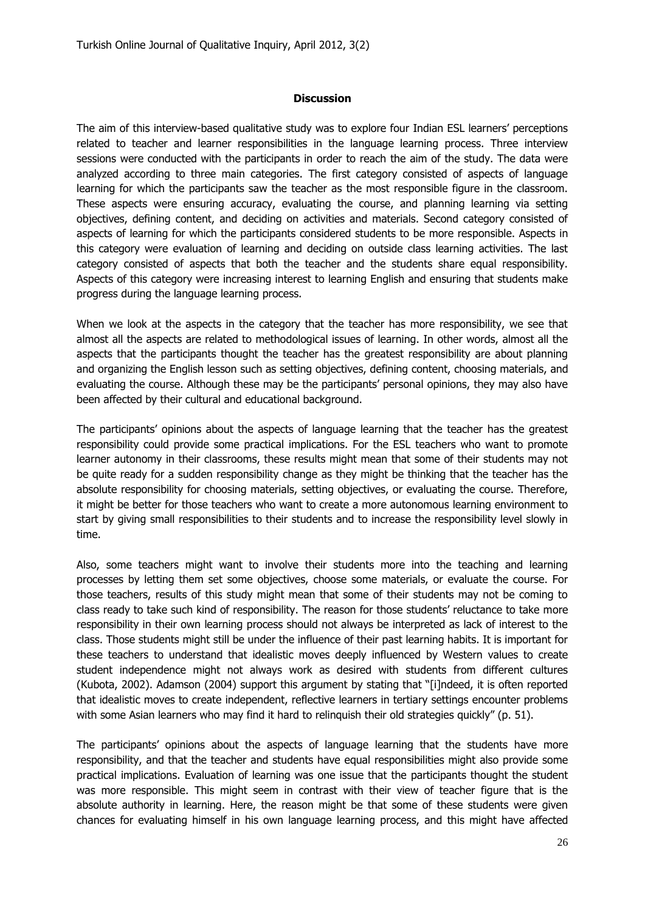#### **Discussion**

The aim of this interview-based qualitative study was to explore four Indian ESL learners" perceptions related to teacher and learner responsibilities in the language learning process. Three interview sessions were conducted with the participants in order to reach the aim of the study. The data were analyzed according to three main categories. The first category consisted of aspects of language learning for which the participants saw the teacher as the most responsible figure in the classroom. These aspects were ensuring accuracy, evaluating the course, and planning learning via setting objectives, defining content, and deciding on activities and materials. Second category consisted of aspects of learning for which the participants considered students to be more responsible. Aspects in this category were evaluation of learning and deciding on outside class learning activities. The last category consisted of aspects that both the teacher and the students share equal responsibility. Aspects of this category were increasing interest to learning English and ensuring that students make progress during the language learning process.

When we look at the aspects in the category that the teacher has more responsibility, we see that almost all the aspects are related to methodological issues of learning. In other words, almost all the aspects that the participants thought the teacher has the greatest responsibility are about planning and organizing the English lesson such as setting objectives, defining content, choosing materials, and evaluating the course. Although these may be the participants' personal opinions, they may also have been affected by their cultural and educational background.

The participants" opinions about the aspects of language learning that the teacher has the greatest responsibility could provide some practical implications. For the ESL teachers who want to promote learner autonomy in their classrooms, these results might mean that some of their students may not be quite ready for a sudden responsibility change as they might be thinking that the teacher has the absolute responsibility for choosing materials, setting objectives, or evaluating the course. Therefore, it might be better for those teachers who want to create a more autonomous learning environment to start by giving small responsibilities to their students and to increase the responsibility level slowly in time.

Also, some teachers might want to involve their students more into the teaching and learning processes by letting them set some objectives, choose some materials, or evaluate the course. For those teachers, results of this study might mean that some of their students may not be coming to class ready to take such kind of responsibility. The reason for those students" reluctance to take more responsibility in their own learning process should not always be interpreted as lack of interest to the class. Those students might still be under the influence of their past learning habits. It is important for these teachers to understand that idealistic moves deeply influenced by Western values to create student independence might not always work as desired with students from different cultures (Kubota, 2002). Adamson (2004) support this argument by stating that "[i]ndeed, it is often reported that idealistic moves to create independent, reflective learners in tertiary settings encounter problems with some Asian learners who may find it hard to relinguish their old strategies quickly" (p. 51).

The participants" opinions about the aspects of language learning that the students have more responsibility, and that the teacher and students have equal responsibilities might also provide some practical implications. Evaluation of learning was one issue that the participants thought the student was more responsible. This might seem in contrast with their view of teacher figure that is the absolute authority in learning. Here, the reason might be that some of these students were given chances for evaluating himself in his own language learning process, and this might have affected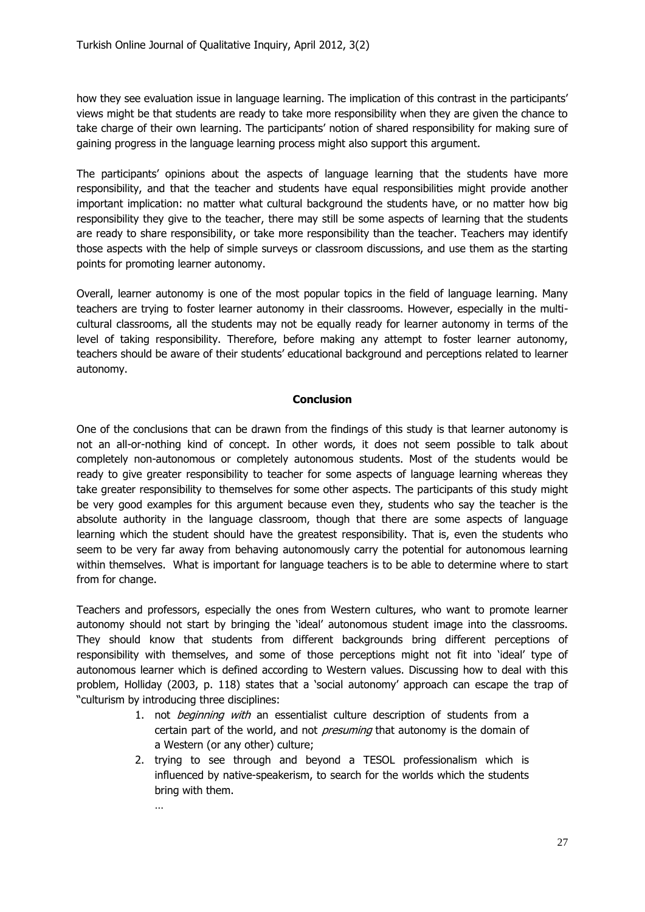how they see evaluation issue in language learning. The implication of this contrast in the participants' views might be that students are ready to take more responsibility when they are given the chance to take charge of their own learning. The participants" notion of shared responsibility for making sure of gaining progress in the language learning process might also support this argument.

The participants' opinions about the aspects of language learning that the students have more responsibility, and that the teacher and students have equal responsibilities might provide another important implication: no matter what cultural background the students have, or no matter how big responsibility they give to the teacher, there may still be some aspects of learning that the students are ready to share responsibility, or take more responsibility than the teacher. Teachers may identify those aspects with the help of simple surveys or classroom discussions, and use them as the starting points for promoting learner autonomy.

Overall, learner autonomy is one of the most popular topics in the field of language learning. Many teachers are trying to foster learner autonomy in their classrooms. However, especially in the multicultural classrooms, all the students may not be equally ready for learner autonomy in terms of the level of taking responsibility. Therefore, before making any attempt to foster learner autonomy, teachers should be aware of their students" educational background and perceptions related to learner autonomy.

#### **Conclusion**

One of the conclusions that can be drawn from the findings of this study is that learner autonomy is not an all-or-nothing kind of concept. In other words, it does not seem possible to talk about completely non-autonomous or completely autonomous students. Most of the students would be ready to give greater responsibility to teacher for some aspects of language learning whereas they take greater responsibility to themselves for some other aspects. The participants of this study might be very good examples for this argument because even they, students who say the teacher is the absolute authority in the language classroom, though that there are some aspects of language learning which the student should have the greatest responsibility. That is, even the students who seem to be very far away from behaving autonomously carry the potential for autonomous learning within themselves. What is important for language teachers is to be able to determine where to start from for change.

Teachers and professors, especially the ones from Western cultures, who want to promote learner autonomy should not start by bringing the "ideal" autonomous student image into the classrooms. They should know that students from different backgrounds bring different perceptions of responsibility with themselves, and some of those perceptions might not fit into "ideal" type of autonomous learner which is defined according to Western values. Discussing how to deal with this problem, Holliday (2003, p. 118) states that a "social autonomy" approach can escape the trap of "culturism by introducing three disciplines:

- 1. not beginning with an essentialist culture description of students from a certain part of the world, and not *presuming* that autonomy is the domain of a Western (or any other) culture;
- 2. trying to see through and beyond a TESOL professionalism which is influenced by native-speakerism, to search for the worlds which the students bring with them.

…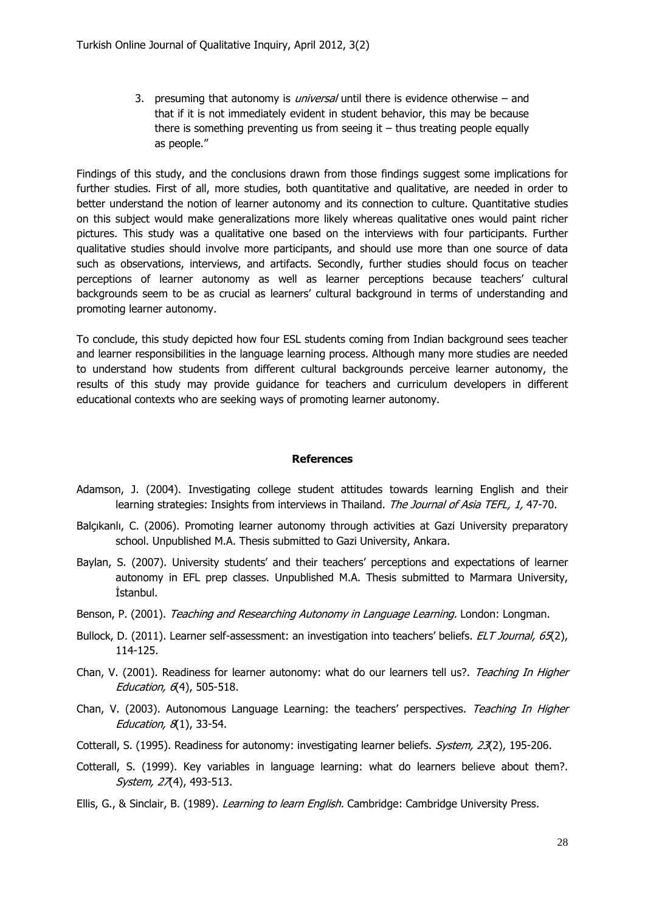3. presuming that autonomy is *universal* until there is evidence otherwise – and that if it is not immediately evident in student behavior, this may be because there is something preventing us from seeing it  $-$  thus treating people equally as people."

Findings of this study, and the conclusions drawn from those findings suggest some implications for further studies. First of all, more studies, both quantitative and qualitative, are needed in order to better understand the notion of learner autonomy and its connection to culture. Quantitative studies on this subject would make generalizations more likely whereas qualitative ones would paint richer pictures. This study was a qualitative one based on the interviews with four participants. Further qualitative studies should involve more participants, and should use more than one source of data such as observations, interviews, and artifacts. Secondly, further studies should focus on teacher perceptions of learner autonomy as well as learner perceptions because teachers' cultural backgrounds seem to be as crucial as learners" cultural background in terms of understanding and promoting learner autonomy.

To conclude, this study depicted how four ESL students coming from Indian background sees teacher and learner responsibilities in the language learning process. Although many more studies are needed to understand how students from different cultural backgrounds perceive learner autonomy, the results of this study may provide guidance for teachers and curriculum developers in different educational contexts who are seeking ways of promoting learner autonomy.

#### **References**

- Adamson, J. (2004). Investigating college student attitudes towards learning English and their learning strategies: Insights from interviews in Thailand. The Journal of Asia TEFL, 1, 47-70.
- Balçıkanlı, C. (2006). Promoting learner autonomy through activities at Gazi University preparatory school. Unpublished M.A. Thesis submitted to Gazi University, Ankara.
- Baylan, S. (2007). University students' and their teachers' perceptions and expectations of learner autonomy in EFL prep classes. Unpublished M.A. Thesis submitted to Marmara University, İstanbul.
- Benson, P. (2001). Teaching and Researching Autonomy in Language Learning. London: Longman.
- Bullock, D. (2011). Learner self-assessment: an investigation into teachers' beliefs. ELT Journal, 65(2), 114-125.
- Chan, V. (2001). Readiness for learner autonomy: what do our learners tell us?. Teaching In Higher Education,  $6(4)$ , 505-518.
- Chan, V. (2003). Autonomous Language Learning: the teachers' perspectives. Teaching In Higher Education,  $8(1)$ , 33-54.
- Cotterall, S. (1995). Readiness for autonomy: investigating learner beliefs. System, 23(2), 195-206.
- Cotterall, S. (1999). Key variables in language learning: what do learners believe about them?. System, 27(4), 493-513.
- Ellis, G., & Sinclair, B. (1989). *Learning to learn English.* Cambridge: Cambridge University Press.